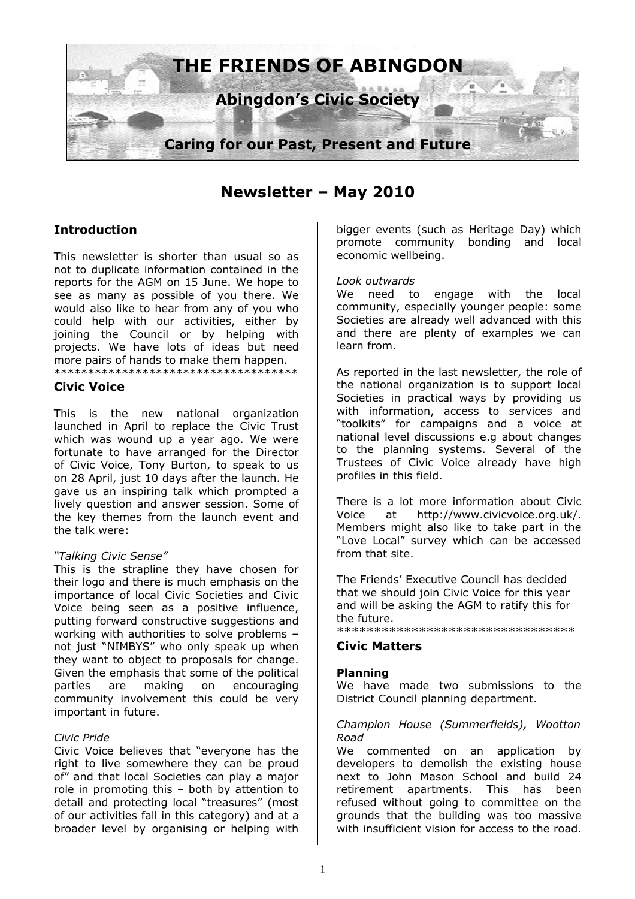

**Newsletter – May 2010**

# **Introduction**

This newsletter is shorter than usual so as not to duplicate information contained in the reports for the AGM on 15 June. We hope to see as many as possible of you there. We would also like to hear from any of you who could help with our activities, either by joining the Council or by helping with projects. We have lots of ideas but need more pairs of hands to make them happen. \*\*\*\*\*\*\*\*\*\*\*\*\*\*\*\*\*\*\*\*\*\*\*\*\*\*\*\*\*\*\*\*\*\*\*\*

### **Civic Voice**

This is the new national organization launched in April to replace the Civic Trust which was wound up a year ago. We were fortunate to have arranged for the Director of Civic Voice, Tony Burton, to speak to us on 28 April, just 10 days after the launch. He gave us an inspiring talk which prompted a lively question and answer session. Some of the key themes from the launch event and the talk were:

#### *"Talking Civic Sense"*

This is the strapline they have chosen for their logo and there is much emphasis on the importance of local Civic Societies and Civic Voice being seen as a positive influence, putting forward constructive suggestions and working with authorities to solve problems – not just "NIMBYS" who only speak up when they want to object to proposals for change. Given the emphasis that some of the political parties are making on encouraging community involvement this could be very important in future.

#### *Civic Pride*

Civic Voice believes that "everyone has the right to live somewhere they can be proud of" and that local Societies can play a major role in promoting this – both by attention to detail and protecting local "treasures" (most of our activities fall in this category) and at a broader level by organising or helping with

bigger events (such as Heritage Day) which promote community bonding and local economic wellbeing.

#### *Look outwards*

We need to engage with the local community, especially younger people: some Societies are already well advanced with this and there are plenty of examples we can learn from.

As reported in the last newsletter, the role of the national organization is to support local Societies in practical ways by providing us with information, access to services and "toolkits" for campaigns and a voice at national level discussions e.g about changes to the planning systems. Several of the Trustees of Civic Voice already have high profiles in this field.

There is a lot more information about Civic Voice at [http://www.civicvoice.org.uk/.](http://www.civicvoice.org.uk/) Members might also like to take part in the "Love Local" survey which can be accessed from that site.

The Friends' Executive Council has decided that we should join Civic Voice for this year and will be asking the AGM to ratify this for the future.

\*\*\*\*\*\*\*\*\*\*\*\*\*\*\*\*\*\*\*\*\*\*\*\*\*\*\*\*\*\*\*\*

## **Civic Matters**

#### **Planning**

We have made two submissions to the District Council planning department.

#### *Champion House (Summerfields), Wootton Road*

We commented on an application by developers to demolish the existing house next to John Mason School and build 24 retirement apartments. This has been refused without going to committee on the grounds that the building was too massive with insufficient vision for access to the road.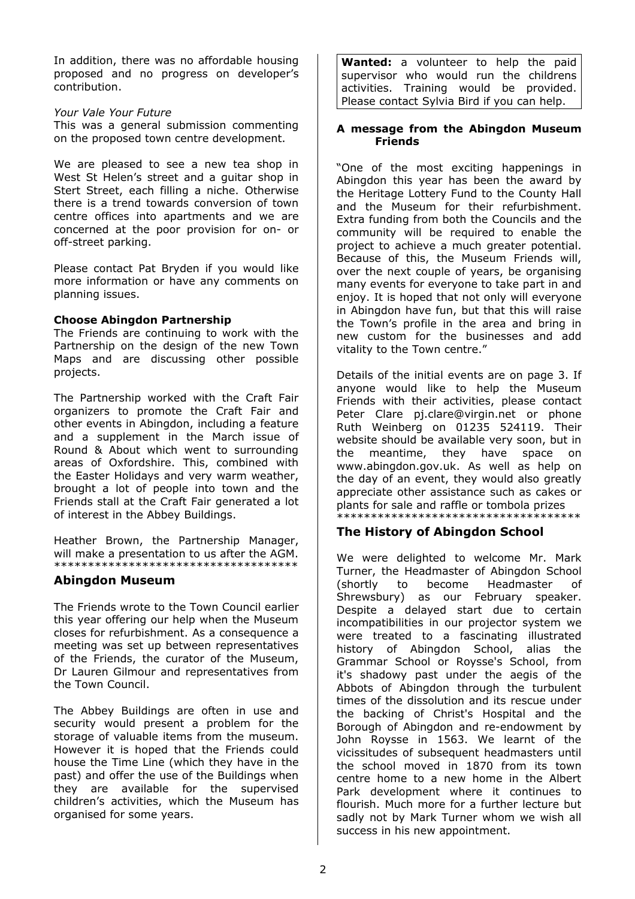In addition, there was no affordable housing proposed and no progress on developer's contribution.

*Your Vale Your Future* This was a general submission commenting on the proposed town centre development.

We are pleased to see a new tea shop in West St Helen's street and a guitar shop in Stert Street, each filling a niche. Otherwise there is a trend towards conversion of town centre offices into apartments and we are concerned at the poor provision for on- or off-street parking.

Please contact Pat Bryden if you would like more information or have any comments on planning issues.

## **Choose Abingdon Partnership**

The Friends are continuing to work with the Partnership on the design of the new Town Maps and are discussing other possible projects.

The Partnership worked with the Craft Fair organizers to promote the Craft Fair and other events in Abingdon, including a feature and a supplement in the March issue of Round & About which went to surrounding areas of Oxfordshire. This, combined with the Easter Holidays and very warm weather, brought a lot of people into town and the Friends stall at the Craft Fair generated a lot of interest in the Abbey Buildings.

Heather Brown, the Partnership Manager, will make a presentation to us after the AGM. \*\*\*\*\*\*\*\*\*\*\*\*\*\*\*\*\*\*\*\*\*\*\*\*\*\*\*\*\*\*\*\*\*\*\*\*

## **Abingdon Museum**

The Friends wrote to the Town Council earlier this year offering our help when the Museum closes for refurbishment. As a consequence a meeting was set up between representatives of the Friends, the curator of the Museum, Dr Lauren Gilmour and representatives from the Town Council.

The Abbey Buildings are often in use and security would present a problem for the storage of valuable items from the museum. However it is hoped that the Friends could house the Time Line (which they have in the past) and offer the use of the Buildings when they are available for the supervised children's activities, which the Museum has organised for some years.

**Wanted:** a volunteer to help the paid supervisor who would run the childrens activities. Training would be provided. Please contact Sylvia Bird if you can help.

#### **A message from the Abingdon Museum Friends**

"One of the most exciting happenings in Abingdon this year has been the award by the Heritage Lottery Fund to the County Hall and the Museum for their refurbishment. Extra funding from both the Councils and the community will be required to enable the project to achieve a much greater potential. Because of this, the Museum Friends will, over the next couple of years, be organising many events for everyone to take part in and enjoy. It is hoped that not only will everyone in Abingdon have fun, but that this will raise the Town's profile in the area and bring in new custom for the businesses and add vitality to the Town centre."

Details of the initial events are on page 3. If anyone would like to help the Museum Friends with their activities, please contact Peter Clare [pj.clare@virgin.net](outbind://70-0000000095D520D72B572246BEC692BD56F9AC17E48E2C00/) or phone Ruth Weinberg on 01235 524119. Their website should be available very soon, but in the meantime, they have space on [www.abingdon.gov.uk.](http://www.abingdon.gov.uk/) As well as help on the day of an event, they would also greatly appreciate other assistance such as cakes or plants for sale and raffle or tombola prizes \*\*\*\*\*\*\*\*\*\*\*\*\*\*\*\*\*\*\*\*\*\*\*\*\*\*\*\*\*\*\*\*\*\*\*\*

# **The History of Abingdon School**

We were delighted to welcome Mr. Mark Turner, the Headmaster of Abingdon School (shortly to become Headmaster of Shrewsbury) as our February speaker. Despite a delayed start due to certain incompatibilities in our projector system we were treated to a fascinating illustrated history of Abingdon School, alias the Grammar School or Roysse's School, from it's shadowy past under the aegis of the Abbots of Abingdon through the turbulent times of the dissolution and its rescue under the backing of Christ's Hospital and the Borough of Abingdon and re-endowment by John Roysse in 1563. We learnt of the vicissitudes of subsequent headmasters until the school moved in 1870 from its town centre home to a new home in the Albert Park development where it continues to flourish. Much more for a further lecture but sadly not by Mark Turner whom we wish all success in his new appointment.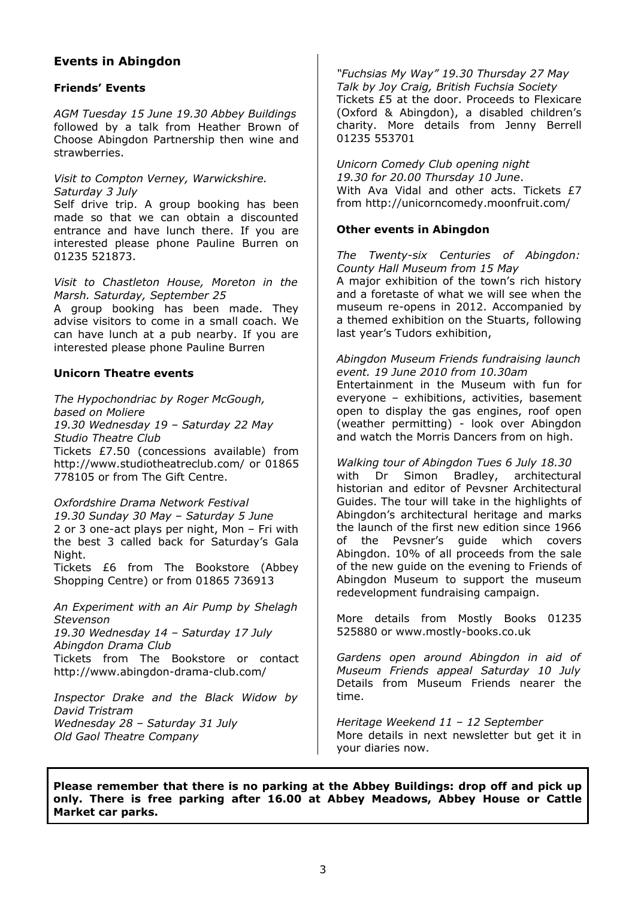# **Events in Abingdon**

## **Friends' Events**

*AGM Tuesday 15 June 19.30 Abbey Buildings* followed by a talk from Heather Brown of Choose Abingdon Partnership then wine and strawberries.

### *Visit to Compton Verney, Warwickshire. Saturday 3 July*

Self drive trip. A group booking has been made so that we can obtain a discounted entrance and have lunch there. If you are interested please phone Pauline Burren on 01235 521873.

*Visit to Chastleton House, Moreton in the Marsh. Saturday, September 25* A group booking has been made. They

advise visitors to come in a small coach. We can have lunch at a pub nearby. If you are interested please phone Pauline Burren

#### **Unicorn Theatre events**

*The Hypochondriac by Roger McGough, based on Moliere 19.30 Wednesday 19 – Saturday 22 May Studio Theatre Club* Tickets £7.50 (concessions available) from <http://www.studiotheatreclub.com/>or 01865 778105 or from The Gift Centre.

### *Oxfordshire Drama Network Festival*

*19.30 Sunday 30 May – Saturday 5 June* 2 or 3 one-act plays per night, Mon – Fri with the best 3 called back for Saturday's Gala Night.

Tickets £6 from The Bookstore (Abbey Shopping Centre) or from 01865 736913

*An Experiment with an Air Pump by Shelagh Stevenson*

*19.30 Wednesday 14 – Saturday 17 July Abingdon Drama Club* Tickets from The Bookstore or contact <http://www.abingdon-drama-club.com/>

*Inspector Drake and the Black Widow by David Tristram Wednesday 28 – Saturday 31 July Old Gaol Theatre Company*

*"Fuchsias My Way" 19.30 Thursday 27 May Talk by Joy Craig, British Fuchsia Society*  Tickets £5 at the door. Proceeds to Flexicare (Oxford & Abingdon), a disabled children's charity. More details from Jenny Berrell 01235 553701

*Unicorn Comedy Club opening night 19.30 for 20.00 Thursday 10 June*. With Ava Vidal and other acts. Tickets £7 from<http://unicorncomedy.moonfruit.com/>

### **Other events in Abingdon**

*The Twenty-six Centuries of Abingdon: County Hall Museum from 15 May* A major exhibition of the town's rich history and a foretaste of what we will see when the museum re-opens in 2012. Accompanied by a themed exhibition on the Stuarts, following last year's Tudors exhibition,

*Abingdon Museum Friends fundraising launch event. 19 June 2010 from 10.30am* Entertainment in the Museum with fun for everyone – exhibitions, activities, basement open to display the gas engines, roof open (weather permitting) - look over Abingdon and watch the Morris Dancers from on high.

*Walking tour of Abingdon Tues 6 July 18.30* with Dr Simon Bradley, architectural historian and editor of Pevsner Architectural Guides. The tour will take in the highlights of Abingdon's architectural heritage and marks the launch of the first new edition since 1966 of the Pevsner's guide which covers Abingdon. 10% of all proceeds from the sale of the new guide on the evening to Friends of Abingdon Museum to support the museum redevelopment fundraising campaign.

More details from Mostly Books 01235 525880 or [www.mostly-books.co.uk](http://www.mostly-books.co.uk/)

*Gardens open around Abingdon in aid of Museum Friends appeal Saturday 10 July* Details from Museum Friends nearer the time.

*Heritage Weekend 11 – 12 September* More details in next newsletter but get it in your diaries now.

**Please remember that there is no parking at the Abbey Buildings: drop off and pick up only. There is free parking after 16.00 at Abbey Meadows, Abbey House or Cattle Market car parks.**